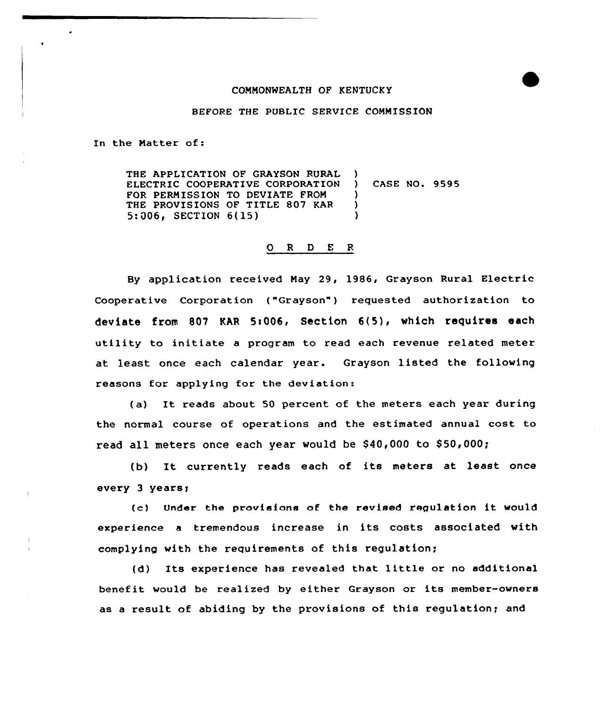## COMMONWEALTH OF KENTUCKY

BEFORE THE PUBLIC SERVICE COMMISSION

In the Matter of:

THE APPLICATION OF GRAYSON RURAL ELECTRIC COOPERATIVE CORPORATION FOR PERMISSION TO DEVIATE FROM THE PROVISIONS OF TITLE 807 KAR 5:006, SECTION 6(15) ) ) CASE NQ. 9595 )  $\mathcal{L}$ )

## 0 <sup>R</sup> <sup>D</sup> <sup>E</sup> <sup>R</sup>

By application received May 29, 1986, Grayson Rural Electric Cooperative Corporation ("Grayson") requested authorization to deviate from 807 KAR 5:006, Section 6(5), which requires each utility to initiate <sup>a</sup> program to read each revenue related meter at least once each calendar year. Grayson listed the following reasons for applying for the deviation:

(a) It reads about <sup>50</sup> percent of the meters each year during the normal course of operations and the estimated annual cost to read all meters once each year would be \$40,000 to \$50,000;

(b) It currently reads each of its meters at least once every 3 years<

(c) Under the provisions of the revised regulation it would experience <sup>a</sup> tremendous increase in its costs associated with complying with the requirements of this regulation;

(d) Its experience has revealed that little or no additional benefit would be realized by either Grayson or its member-owners as a result of abiding by the provisions of this regulation; and